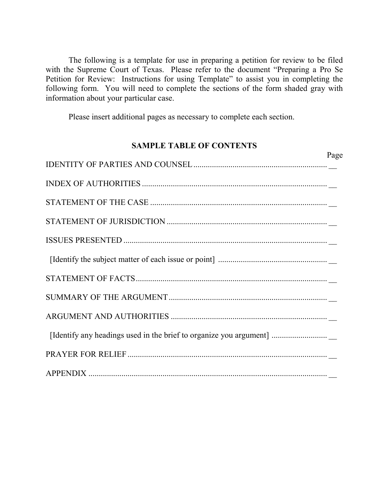The following is a template for use in preparing a petition for review to be filed with the Supreme Court of Texas. Please refer to the document "Preparing a Pro Se Petition for Review: Instructions for using Template" to assist you in completing the following form. You will need to complete the sections of the form shaded gray with information about your particular case.

Please insert additional pages as necessary to complete each section.

#### **SAMPLE TABLE OF CONTENTS**

|                                                                                                                                                               | Page |
|---------------------------------------------------------------------------------------------------------------------------------------------------------------|------|
|                                                                                                                                                               |      |
|                                                                                                                                                               |      |
| $\begin{minipage}{0.9\linewidth} \textbf{STATEMENT OF THE CASE} \end{minipage} \begin{minipage}{0.9\linewidth} \textbf{STATEMENT OF THE CASE} \end{minipage}$ |      |
|                                                                                                                                                               |      |
|                                                                                                                                                               |      |
|                                                                                                                                                               |      |
|                                                                                                                                                               |      |
|                                                                                                                                                               |      |
|                                                                                                                                                               |      |
| [Identify any headings used in the brief to organize you argument]                                                                                            |      |
|                                                                                                                                                               |      |
|                                                                                                                                                               |      |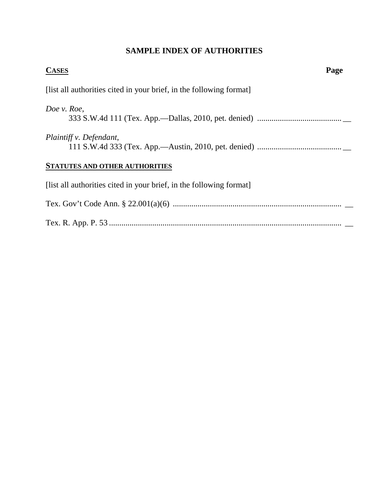#### **SAMPLE INDEX OF AUTHORITIES**

| <b>CASES</b>                                                        | Page |
|---------------------------------------------------------------------|------|
| [list all authorities cited in your brief, in the following format] |      |
| Doe v. Roe,                                                         |      |
| Plaintiff v. Defendant,                                             |      |
| <b>STATUTES AND OTHER AUTHORITIES</b>                               |      |
| [list all authorities cited in your brief, in the following format] |      |
|                                                                     |      |
|                                                                     |      |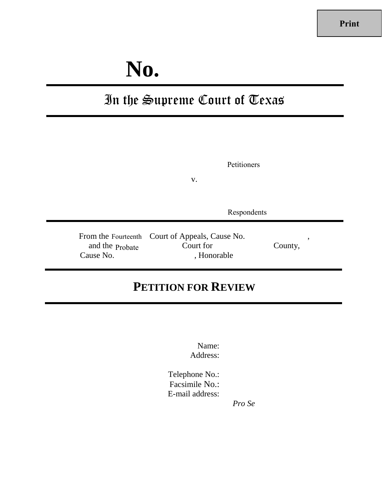# **No.**

## In the Supreme Court of Texas

|                              | Petitioners<br>V.                                                           |              |
|------------------------------|-----------------------------------------------------------------------------|--------------|
|                              | Respondents                                                                 |              |
| and the Probate<br>Cause No. | From the Fourteenth Court of Appeals, Cause No.<br>Court for<br>, Honorable | ,<br>County, |

### **PETITION FOR REVIEW**

Name: Address:

Telephone No.: Facsimile No.: E-mail address:

*Pro Se*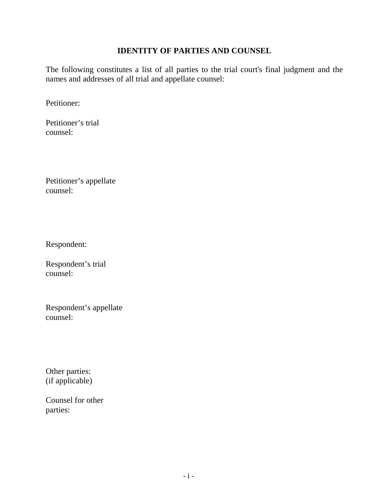#### **IDENTITY OF PARTIES AND COUNSEL**

The following constitutes a list of all parties to the trial court's final judgment and the names and addresses of all trial and appellate counsel:

Petitioner:

Petitioner's trial counsel:

Petitioner's appellate counsel:

Respondent:

Respondent's trial counsel:

Respondent's appellate counsel:

Other parties: (if applicable)

Counsel for other parties: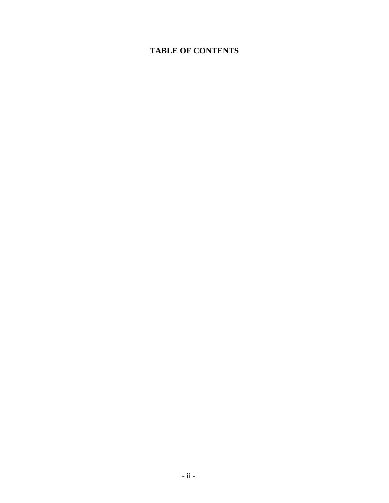#### **TABLE OF CONTENTS**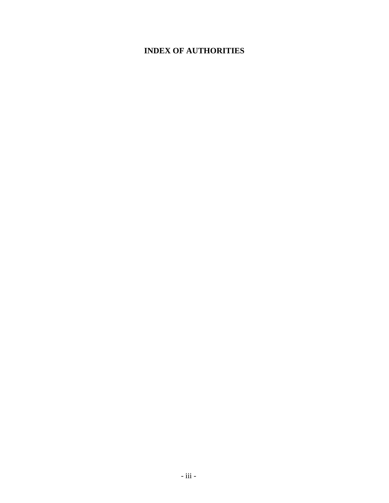#### **INDEX OF AUTHORITIES**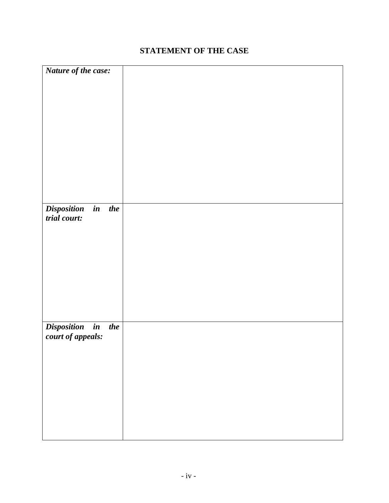#### **STATEMENT OF THE CASE**

| Nature of the case:                           |  |
|-----------------------------------------------|--|
|                                               |  |
|                                               |  |
|                                               |  |
|                                               |  |
|                                               |  |
|                                               |  |
|                                               |  |
|                                               |  |
|                                               |  |
|                                               |  |
|                                               |  |
|                                               |  |
|                                               |  |
|                                               |  |
|                                               |  |
|                                               |  |
| <b>Disposition</b><br>$\boldsymbol{i}$<br>the |  |
| trial court:                                  |  |
|                                               |  |
|                                               |  |
|                                               |  |
|                                               |  |
|                                               |  |
|                                               |  |
|                                               |  |
|                                               |  |
|                                               |  |
|                                               |  |
|                                               |  |
|                                               |  |
| Disposition in<br>the                         |  |
|                                               |  |
| court of appeals:                             |  |
|                                               |  |
|                                               |  |
|                                               |  |
|                                               |  |
|                                               |  |
|                                               |  |
|                                               |  |
|                                               |  |
|                                               |  |
|                                               |  |
|                                               |  |
|                                               |  |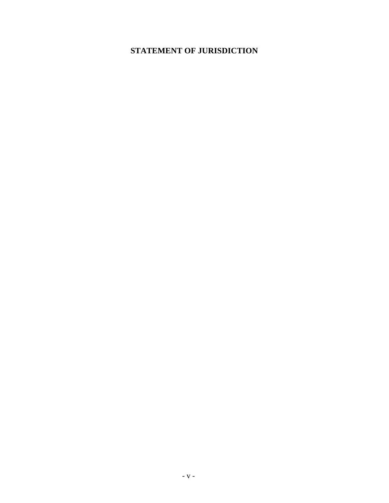#### **STATEMENT OF JURISDICTION**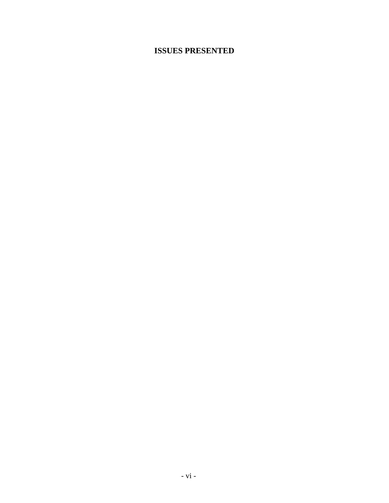#### **ISSUES PRESENTED**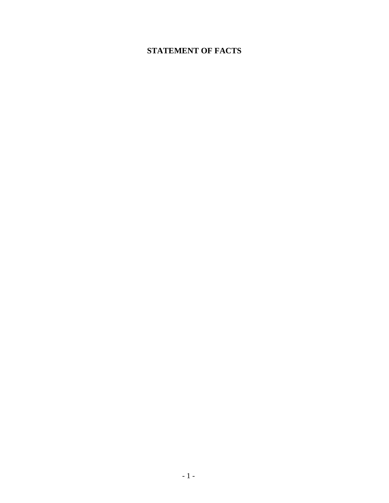#### **STATEMENT OF FACTS**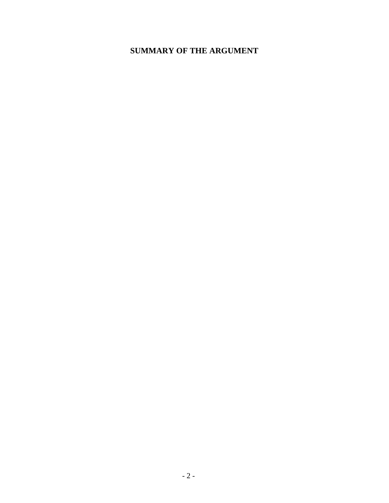#### **SUMMARY OF THE ARGUMENT**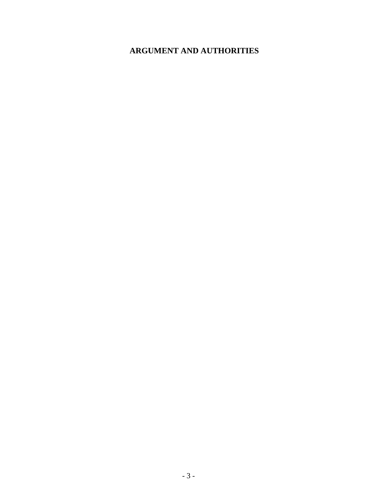#### **ARGUMENT AND AUTHORITIES**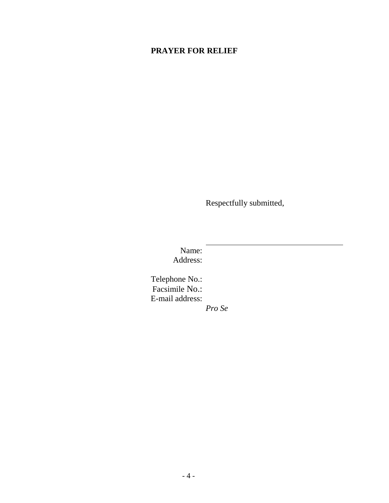#### **PRAYER FOR RELIEF**

Respectfully submitted,

Name: Address:

Telephone No.: Facsimile No.: E-mail address:

*Pro Se*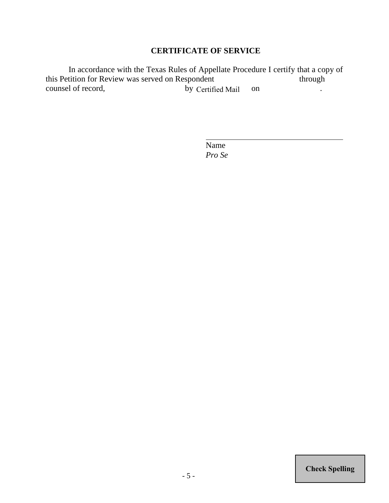#### **CERTIFICATE OF SERVICE**

In accordance with the Texas Rules of Appellate Procedure I certify that a copy of this Petition for Review was served on Respondent through counsel of record, by Certified Mail on .

> Name *Pro Se*